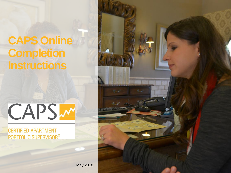## **CAPS Online Completion Instructions**



**CERTIFIED APARTMENT** PORTFOLIO SUPERVISOR®



May 2018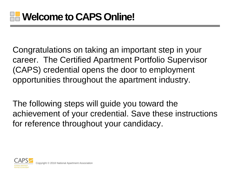Congratulations on taking an important step in your career. The Certified Apartment Portfolio Supervisor (CAPS) credential opens the door to employment opportunities throughout the apartment industry.

The following steps will guide you toward the achievement of your credential. Save these instructions for reference throughout your candidacy.

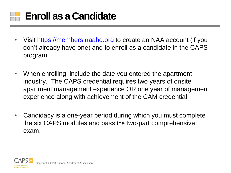

- Visit [https://members.naahq.org](https://members.naahq.org/) to create an NAA account (if you don't already have one) and to enroll as a candidate in the CAPS program.
- When enrolling, include the date you entered the apartment industry. The CAPS credential requires two years of onsite apartment management experience OR one year of management experience along with achievement of the CAM credential.
- Candidacy is a one-year period during which you must complete the six CAPS modules and pass the two-part comprehensive exam.

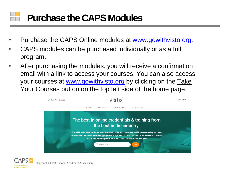## **Purchase the CAPS Modules**

- Purchase the CAPS Online modules at [www.gowithvisto.org](http://www.gowithvisto.org/).
- CAPS modules can be purchased individually or as a full program.
- After purchasing the modules, you will receive a confirmation email with a link to access your courses. You can also access your courses at [www.gowithvisto.org](http://www.gowithvisto.org/) by clicking on the Take Your Courses button on the top left side of the home page.



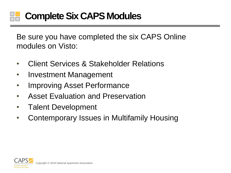### **Complete Six CAPS Modules**

Be sure you have completed the six CAPS Online modules on Visto:

- Client Services & Stakeholder Relations
- Investment Management
- Improving Asset Performance
- Asset Evaluation and Preservation
- Talent Development
- Contemporary Issues in Multifamily Housing

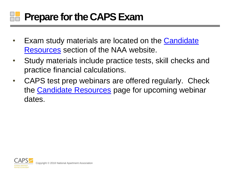# **Prepare for the CAPS Exam**

- Exam study materials are located on the Candidate Resources section of the NAA website.
- Study materials include practice tests, skill checks and practice financial calculations.
- CAPS test prep webinars are offered regularly. Check the [Candidate Resources](https://www.naahq.org/learn/education/candidate-resources) page for upcoming webinar dates.

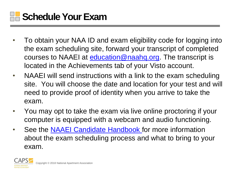

- To obtain your NAA ID and exam eligibility code for logging into the exam scheduling site, forward your transcript of completed courses to NAAEI at [education@naahq.org.](mailto:education@naahq.org) The transcript is located in the Achievements tab of your Visto account.
- NAAEI will send instructions with a link to the exam scheduling site. You will choose the date and location for your test and will need to provide proof of identity when you arrive to take the exam.
- You may opt to take the exam via live online proctoring if your computer is equipped with a webcam and audio functioning.
- See the **NAAEI Candidate Handbook** for more information about the exam scheduling process and what to bring to your exam.

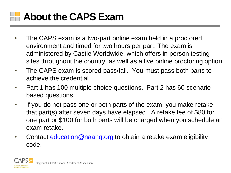

- The CAPS exam is a two-part online exam held in a proctored environment and timed for two hours per part. The exam is administered by Castle Worldwide, which offers in person testing sites throughout the country, as well as a live online proctoring option.
- The CAPS exam is scored pass/fail. You must pass both parts to achieve the credential.
- Part 1 has 100 multiple choice questions. Part 2 has 60 scenariobased questions.
- If you do not pass one or both parts of the exam, you make retake that part(s) after seven days have elapsed. A retake fee of \$80 for one part or \$100 for both parts will be charged when you schedule an exam retake.
- Contact [education@naahq.org](mailto:education@naahq.org) to obtain a retake exam eligibility code.

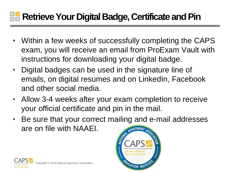### **Retrieve Your Digital Badge, Certificate and Pin**

- Within a few weeks of successfully completing the CAPS exam, you will receive an email from ProExam Vault with instructions for downloading your digital badge.
- Digital badges can be used in the signature line of emails, on digital resumes and on LinkedIn, Facebook and other social media.
- Allow 3-4 weeks after your exam completion to receive your official certificate and pin in the mail.
- Be sure that your correct mailing and e-mail addresses are on file with NAAEI.APARTMENT A



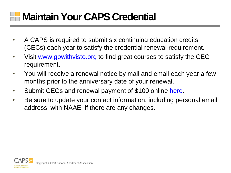## **Maintain Your CAPS Credential**

- A CAPS is required to submit six continuing education credits (CECs) each year to satisfy the credential renewal requirement.
- Visit [www.gowithvisto.org](http://www.gowithvisto.org/) to find great courses to satisfy the CEC requirement.
- You will receive a renewal notice by mail and email each year a few months prior to the anniversary date of your renewal.
- Submit CECs and renewal payment of \$100 online [here](https://www.naahq.org/education-careers/credentials/renew-credential).
- Be sure to update your contact information, including personal email address, with NAAEI if there are any changes.